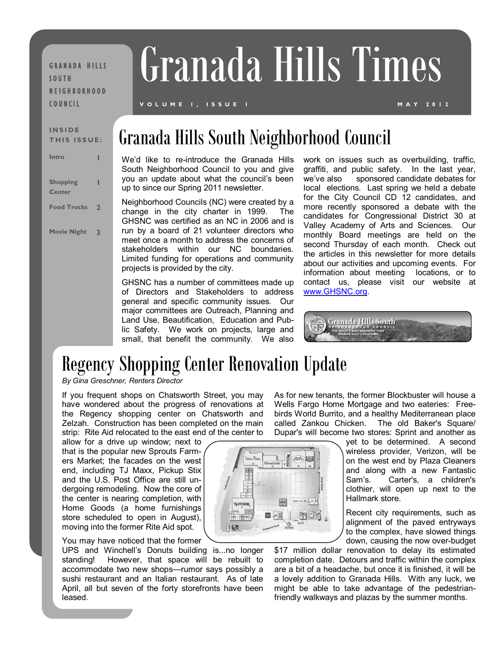**GRANADA HILLS** S O U T H N E I G H B O R H O O D C O U N C I L

# Granada Hills Times

#### **V O L U M E 1 , I S S U E 1 M A Y 2 0 1 2**

## INSIDE ISSUE: Granada Hills South Neighborhood Council

We'd like to re-introduce the Granada Hills South Neighborhood Council to you and give you an update about what the council's been up to since our Spring 2011 newsletter.

Neighborhood Councils (NC) were created by a change in the city charter in 1999. The GHSNC was certified as an NC in 2006 and is run by a board of 21 volunteer directors who meet once a month to address the concerns of stakeholders within our NC boundaries. Limited funding for operations and community projects is provided by the city.

GHSNC has a number of committees made up of Directors and Stakeholders to address general and specific community issues. Our major committees are Outreach, Planning and Land Use, Beautification, Education and Public Safety. We work on projects, large and small, that benefit the community. We also

work on issues such as overbuilding, traffic, graffiti, and public safety. In the last year, we've also sponsored candidate debates for local elections. Last spring we held a debate for the City Council CD 12 candidates, and more recently sponsored a debate with the candidates for Congressional District 30 at Valley Academy of Arts and Sciences. Our monthly Board meetings are held on the second Thursday of each month. Check out the articles in this newsletter for more details about our activities and upcoming events. For information about meeting locations, or to contact us, please visit our website at [www.GHSNC.org.](http://www.ghsnc.org/) 



## Regency Shopping Center Renovation Update

*By Gina Greschner, Renters Director*

If you frequent shops on Chatsworth Street, you may have wondered about the progress of renovations at the Regency shopping center on Chatsworth and Zelzah. Construction has been completed on the main strip: Rite Aid relocated to the east end of the center to

allow for a drive up window; next to that is the popular new Sprouts Farmers Market; the facades on the west end, including TJ Maxx, Pickup Stix and the U.S. Post Office are still undergoing remodeling. Now the core of the center is nearing completion, with Home Goods (a home furnishings store scheduled to open in August), moving into the former Rite Aid spot.

You may have noticed that the former

UPS and Winchell's Donuts building is...no longer standing! However, that space will be rebuilt to accommodate two new shops—rumor says possibly a sushi restaurant and an Italian restaurant. As of late April, all but seven of the forty storefronts have been leased.

As for new tenants, the former Blockbuster will house a Wells Fargo Home Mortgage and two eateries: Freebirds World Burrito, and a healthy Mediterranean place called Zankou Chicken. The old Baker's Square/ Dupar's will become two stores: Sprint and another as

yet to be determined. A second wireless provider, Verizon, will be on the west end by Plaza Cleaners and along with a new Fantastic Sam's. Carter's, a children's clothier, will open up next to the Hallmark store.

Recent city requirements, such as alignment of the paved entryways to the complex, have slowed things down, causing the now over-budget

\$17 million dollar renovation to delay its estimated completion date. Detours and traffic within the complex are a bit of a headache, but once it is finished, it will be a lovely addition to Granada Hills. With any luck, we might be able to take advantage of the pedestrianfriendly walkways and plazas by the summer months.



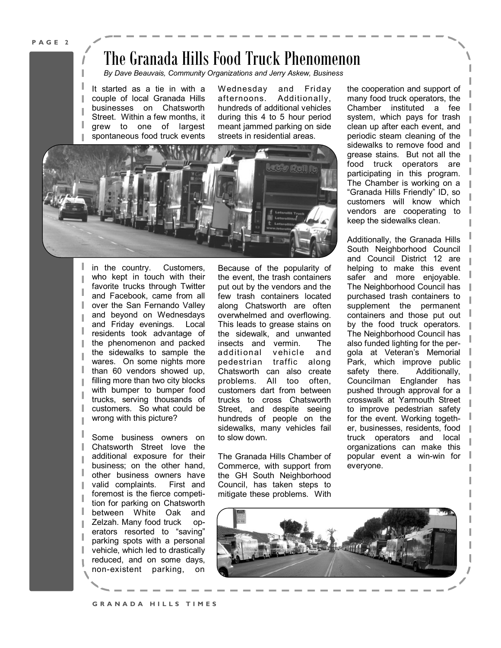## The Granada Hills Food Truck Phenomenon

*By Dave Beauvais, Community Organizations and Jerry Askew, Business*

It started as a tie in with a couple of local Granada Hills businesses on Chatsworth Street. Within a few months, it grew to one of largest spontaneous food truck events

Wednesday and Friday afternoons. Additionally, hundreds of additional vehicles during this 4 to 5 hour period meant jammed parking on side streets in residential areas.



in the country. Customers, who kept in touch with their favorite trucks through Twitter and Facebook, came from all over the San Fernando Valley and beyond on Wednesdays and Friday evenings. Local residents took advantage of the phenomenon and packed the sidewalks to sample the wares. On some nights more than 60 vendors showed up, filling more than two city blocks with bumper to bumper food trucks, serving thousands of customers. So what could be wrong with this picture?

Some business owners on Chatsworth Street love the additional exposure for their business; on the other hand, other business owners have valid complaints. First and foremost is the fierce competition for parking on Chatsworth between White Oak and Zelzah. Many food truck operators resorted to "saving" parking spots with a personal vehicle, which led to drastically reduced, and on some days, non-existent parking, on

Because of the popularity of the event, the trash containers put out by the vendors and the few trash containers located along Chatsworth are often overwhelmed and overflowing. This leads to grease stains on the sidewalk, and unwanted insects and vermin. The additional vehicle and pedestrian traffic along Chatsworth can also create problems. All too often, customers dart from between trucks to cross Chatsworth Street, and despite seeing hundreds of people on the sidewalks, many vehicles fail to slow down.

The Granada Hills Chamber of Commerce, with support from the GH South Neighborhood Council, has taken steps to mitigate these problems. With

the cooperation and support of many food truck operators, the Chamber instituted a fee system, which pays for trash clean up after each event, and periodic steam cleaning of the sidewalks to remove food and grease stains. But not all the food truck operators are participating in this program. The Chamber is working on a "Granada Hills Friendly" ID, so customers will know which vendors are cooperating to keep the sidewalks clean.

Additionally, the Granada Hills South Neighborhood Council and Council District 12 are helping to make this event safer and more enjoyable. The Neighborhood Council has purchased trash containers to supplement the permanent containers and those put out by the food truck operators. The Neighborhood Council has also funded lighting for the pergola at Veteran's Memorial Park, which improve public safety there. Additionally, Councilman Englander has pushed through approval for a crosswalk at Yarmouth Street to improve pedestrian safety for the event. Working together, businesses, residents, food truck operators and local organizations can make this popular event a win-win for everyone.

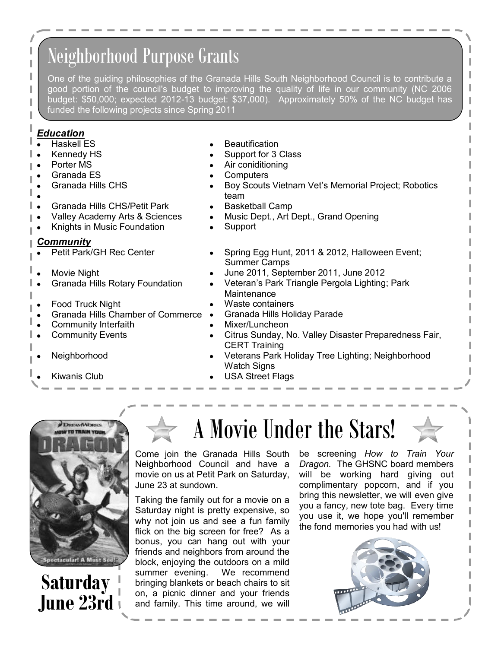# Neighborhood Purpose Grants

One of the guiding philosophies of the Granada Hills South Neighborhood Council is to contribute a good portion of the council's budget to improving the quality of life in our community (NC 2006 budget: \$50,000; expected 2012-13 budget: \$37,000). Approximately 50% of the NC budget has funded the following projects since Spring 2011

#### *Education*

- Haskell ES
- Kennedy HS
- Porter MS
- Granada ES
- Granada Hills CHS
- 
- Granada Hills CHS/Petit Park
- Valley Academy Arts & Sciences
- Knights in Music Foundation

#### *Community*

- Petit Park/GH Rec Center
- Movie Night
- Granada Hills Rotary Foundation
- Food Truck Night
- Granada Hills Chamber of Commerce
- Community Interfaith
- Community Events
- Neighborhood
- Kiwanis Club
- **Beautification**
- Support for 3 Class
- Air coniditioning
- **Computers**
- Boy Scouts Vietnam Vet's Memorial Project; Robotics team

ı I

- Basketball Camp
- Music Dept., Art Dept., Grand Opening
- Support
- Spring Egg Hunt, 2011 & 2012, Halloween Event; Summer Camps
- June 2011, September 2011, June 2012
- Veteran's Park Triangle Pergola Lighting; Park **Maintenance**
- Waste containers
- Granada Hills Holiday Parade
- Mixer/Luncheon
- Citrus Sunday, No. Valley Disaster Preparedness Fair, CERT Training
- Veterans Park Holiday Tree Lighting; Neighborhood Watch Signs
- USA Street Flags





# A Movie Under the Stars!

Come join the Granada Hills South Neighborhood Council and have a movie on us at Petit Park on Saturday, June 23 at sundown.

Taking the family out for a movie on a Saturday night is pretty expensive, so why not join us and see a fun family flick on the big screen for free? As a bonus, you can hang out with your friends and neighbors from around the block, enjoying the outdoors on a mild summer evening. We recommend bringing blankets or beach chairs to sit on, a picnic dinner and your friends and family. This time around, we will

be screening *How to Train Your Dragon.* The GHSNC board members will be working hard giving out complimentary popcorn, and if you bring this newsletter, we will even give you a fancy, new tote bag. Every time you use it, we hope you'll remember the fond memories you had with us!